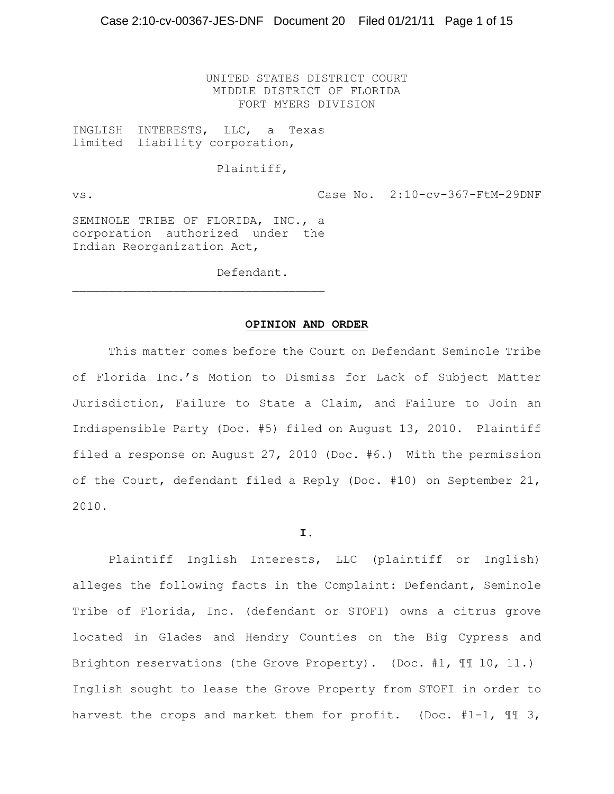UNITED STATES DISTRICT COURT MIDDLE DISTRICT OF FLORIDA FORT MYERS DIVISION

INGLISH INTERESTS, LLC, a Texas limited liability corporation,

### Plaintiff,

vs. Case No. 2:10-cv-367-FtM-29DNF

SEMINOLE TRIBE OF FLORIDA, INC., a corporation authorized under the Indian Reorganization Act,

 $\mathcal{L}_\text{max}$ 

Defendant.

#### **OPINION AND ORDER**

This matter comes before the Court on Defendant Seminole Tribe of Florida Inc.'s Motion to Dismiss for Lack of Subject Matter Jurisdiction, Failure to State a Claim, and Failure to Join an Indispensible Party (Doc. #5) filed on August 13, 2010. Plaintiff filed a response on August 27, 2010 (Doc. #6.) With the permission of the Court, defendant filed a Reply (Doc. #10) on September 21, 2010.

#### **I.**

Plaintiff Inglish Interests, LLC (plaintiff or Inglish) alleges the following facts in the Complaint: Defendant, Seminole Tribe of Florida, Inc. (defendant or STOFI) owns a citrus grove located in Glades and Hendry Counties on the Big Cypress and Brighton reservations (the Grove Property). (Doc. #1, ¶¶ 10, 11.) Inglish sought to lease the Grove Property from STOFI in order to harvest the crops and market them for profit. (Doc. #1-1, 11 3,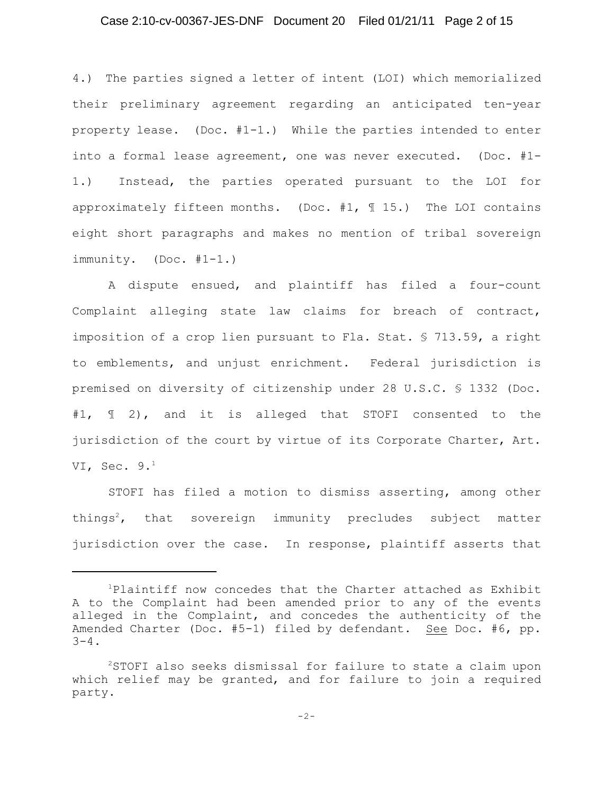# Case 2:10-cv-00367-JES-DNF Document 20 Filed 01/21/11 Page 2 of 15

4.) The parties signed a letter of intent (LOI) which memorialized their preliminary agreement regarding an anticipated ten-year property lease. (Doc. #1-1.) While the parties intended to enter into a formal lease agreement, one was never executed. (Doc. #1- 1.) Instead, the parties operated pursuant to the LOI for approximately fifteen months. (Doc.  $#1,$   $\parallel$  15.) The LOI contains eight short paragraphs and makes no mention of tribal sovereign immunity. (Doc. #1-1.)

A dispute ensued, and plaintiff has filed a four-count Complaint alleging state law claims for breach of contract, imposition of a crop lien pursuant to Fla. Stat. § 713.59, a right to emblements, and unjust enrichment. Federal jurisdiction is premised on diversity of citizenship under 28 U.S.C. § 1332 (Doc. #1, ¶ 2), and it is alleged that STOFI consented to the jurisdiction of the court by virtue of its Corporate Charter, Art. VI, Sec. 9. $^1$ 

STOFI has filed a motion to dismiss asserting, among other things<sup>2</sup>, that sovereign immunity precludes subject matter jurisdiction over the case. In response, plaintiff asserts that

 $P$ laintiff now concedes that the Charter attached as Exhibit A to the Complaint had been amended prior to any of the events alleged in the Complaint, and concedes the authenticity of the Amended Charter (Doc. #5-1) filed by defendant. See Doc. #6, pp.  $3 - 4$ .

 $2$ STOFI also seeks dismissal for failure to state a claim upon which relief may be granted, and for failure to join a required party.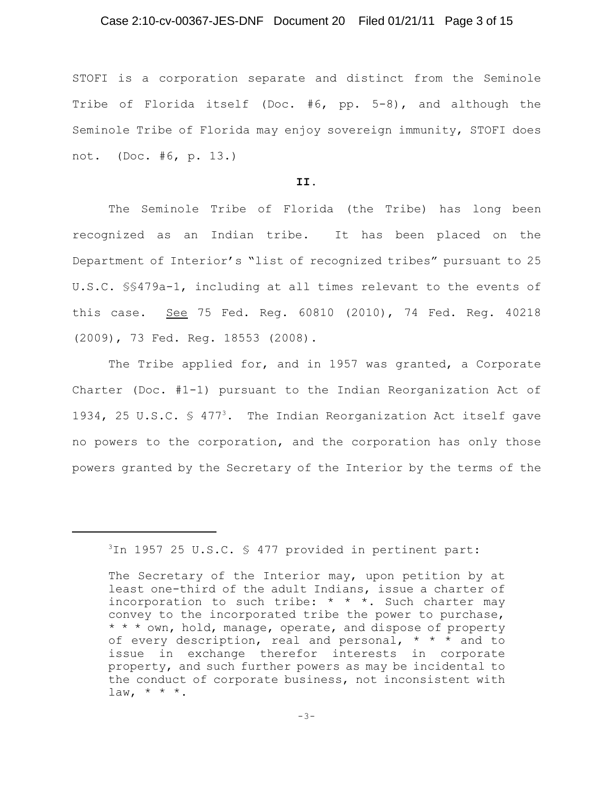# Case 2:10-cv-00367-JES-DNF Document 20 Filed 01/21/11 Page 3 of 15

STOFI is a corporation separate and distinct from the Seminole Tribe of Florida itself (Doc. #6, pp. 5-8), and although the Seminole Tribe of Florida may enjoy sovereign immunity, STOFI does not. (Doc. #6, p. 13.)

## **II.**

The Seminole Tribe of Florida (the Tribe) has long been recognized as an Indian tribe. It has been placed on the Department of Interior's "list of recognized tribes" pursuant to 25 U.S.C. §§479a-1, including at all times relevant to the events of this case. See 75 Fed. Reg. 60810 (2010), 74 Fed. Reg. 40218 (2009), 73 Fed. Reg. 18553 (2008).

The Tribe applied for, and in 1957 was granted, a Corporate Charter (Doc. #1-1) pursuant to the Indian Reorganization Act of 1934, 25 U.S.C.  $\frac{1}{5}$  477<sup>3</sup>. The Indian Reorganization Act itself gave no powers to the corporation, and the corporation has only those powers granted by the Secretary of the Interior by the terms of the

 $3$ In 1957 25 U.S.C. § 477 provided in pertinent part:

The Secretary of the Interior may, upon petition by at least one-third of the adult Indians, issue a charter of incorporation to such tribe:  $* * *$ . Such charter may convey to the incorporated tribe the power to purchase, \* \* \* own, hold, manage, operate, and dispose of property of every description, real and personal, \* \* \* and to issue in exchange therefor interests in corporate property, and such further powers as may be incidental to the conduct of corporate business, not inconsistent with  $law, * * *$ .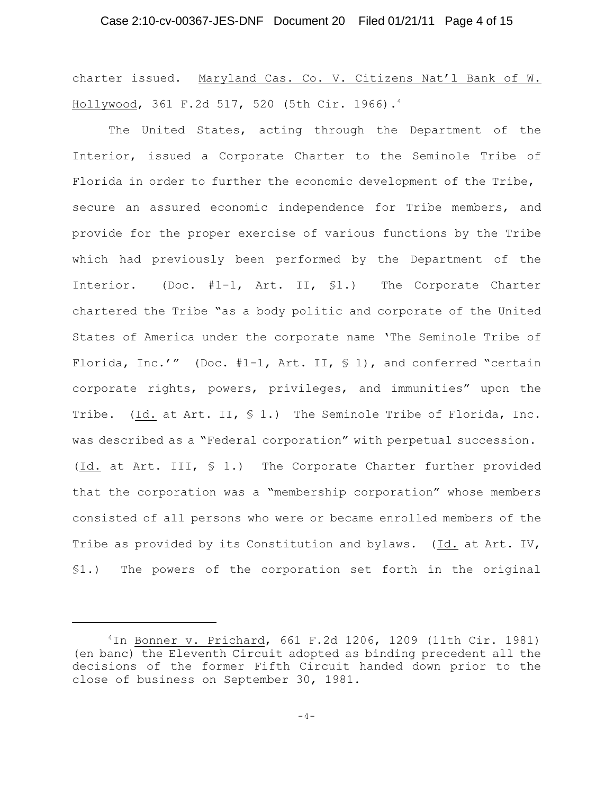charter issued. Maryland Cas. Co. V. Citizens Nat'l Bank of W. Hollywood, 361 F.2d 517, 520 (5th Cir. 1966). 4

The United States, acting through the Department of the Interior, issued a Corporate Charter to the Seminole Tribe of Florida in order to further the economic development of the Tribe, secure an assured economic independence for Tribe members, and provide for the proper exercise of various functions by the Tribe which had previously been performed by the Department of the Interior. (Doc. #1-1, Art. II, §1.) The Corporate Charter chartered the Tribe "as a body politic and corporate of the United States of America under the corporate name 'The Seminole Tribe of Florida, Inc.'" (Doc.  $#1-1$ , Art. II,  $\leq 1$ ), and conferred "certain corporate rights, powers, privileges, and immunities" upon the Tribe. (Id. at Art. II,  $S$  1.) The Seminole Tribe of Florida, Inc. was described as a "Federal corporation" with perpetual succession. (Id. at Art. III, § 1.) The Corporate Charter further provided that the corporation was a "membership corporation" whose members consisted of all persons who were or became enrolled members of the Tribe as provided by its Constitution and bylaws. (Id. at Art. IV, §1.) The powers of the corporation set forth in the original

 $1$ In Bonner v. Prichard, 661 F.2d 1206, 1209 (11th Cir. 1981) (en banc) the Eleventh Circuit adopted as binding precedent all the decisions of the former Fifth Circuit handed down prior to the close of business on September 30, 1981.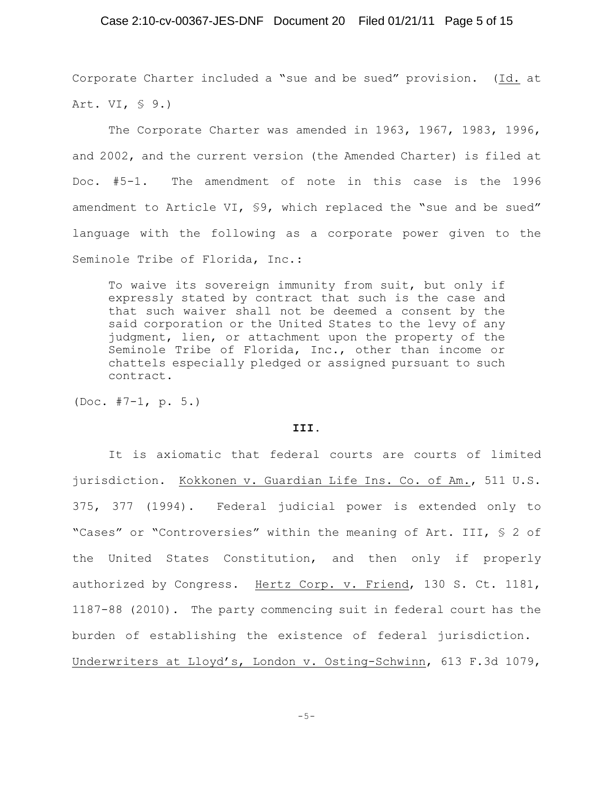# Case 2:10-cv-00367-JES-DNF Document 20 Filed 01/21/11 Page 5 of 15

Corporate Charter included a "sue and be sued" provision. (Id. at Art. VI, § 9.)

The Corporate Charter was amended in 1963, 1967, 1983, 1996, and 2002, and the current version (the Amended Charter) is filed at Doc. #5-1. The amendment of note in this case is the 1996 amendment to Article VI, §9, which replaced the "sue and be sued" language with the following as a corporate power given to the Seminole Tribe of Florida, Inc.:

To waive its sovereign immunity from suit, but only if expressly stated by contract that such is the case and that such waiver shall not be deemed a consent by the said corporation or the United States to the levy of any judgment, lien, or attachment upon the property of the Seminole Tribe of Florida, Inc., other than income or chattels especially pledged or assigned pursuant to such contract.

(Doc. #7-1, p. 5.)

#### **III.**

It is axiomatic that federal courts are courts of limited jurisdiction. Kokkonen v. Guardian Life Ins. Co. of Am., 511 U.S. 375, 377 (1994). Federal judicial power is extended only to "Cases" or "Controversies" within the meaning of Art. III, § 2 of the United States Constitution, and then only if properly authorized by Congress. Hertz Corp. v. Friend, 130 S. Ct. 1181, 1187-88 (2010). The party commencing suit in federal court has the burden of establishing the existence of federal jurisdiction. Underwriters at Lloyd's, London v. Osting-Schwinn, 613 F.3d 1079,

 $-5-$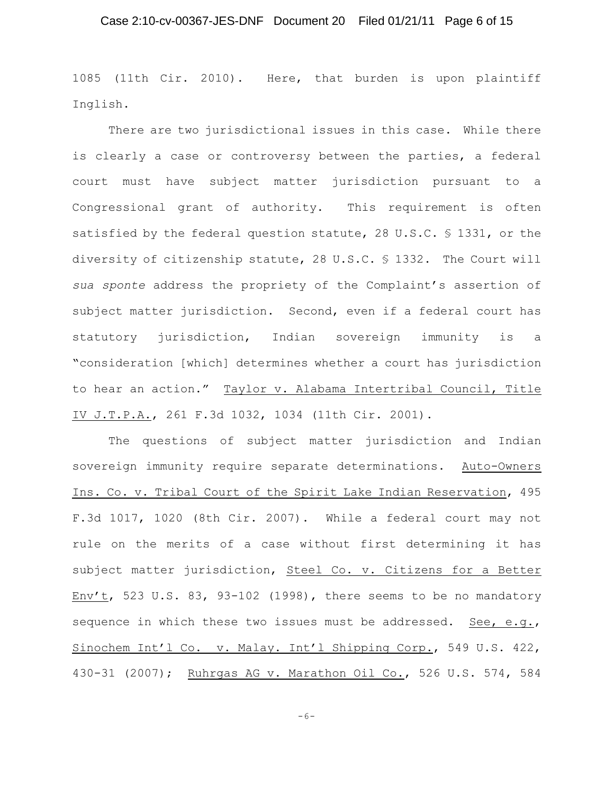1085 (11th Cir. 2010). Here, that burden is upon plaintiff Inglish.

There are two jurisdictional issues in this case. While there is clearly a case or controversy between the parties, a federal court must have subject matter jurisdiction pursuant to a Congressional grant of authority. This requirement is often satisfied by the federal question statute, 28 U.S.C. § 1331, or the diversity of citizenship statute, 28 U.S.C. § 1332. The Court will *sua sponte* address the propriety of the Complaint's assertion of subject matter jurisdiction. Second, even if a federal court has statutory jurisdiction, Indian sovereign immunity is a "consideration [which] determines whether a court has jurisdiction to hear an action." Taylor v. Alabama Intertribal Council, Title IV J.T.P.A., 261 F.3d 1032, 1034 (11th Cir. 2001).

The questions of subject matter jurisdiction and Indian sovereign immunity require separate determinations. Auto-Owners Ins. Co. v. Tribal Court of the Spirit Lake Indian Reservation, 495 F.3d 1017, 1020 (8th Cir. 2007). While a federal court may not rule on the merits of a case without first determining it has subject matter jurisdiction, Steel Co. v. Citizens for a Better Env't, 523 U.S. 83, 93-102 (1998), there seems to be no mandatory sequence in which these two issues must be addressed. See, e.g., Sinochem Int'l Co. v. Malay. Int'l Shipping Corp., 549 U.S. 422, 430-31 (2007); Ruhrgas AG v. Marathon Oil Co., 526 U.S. 574, 584

-6-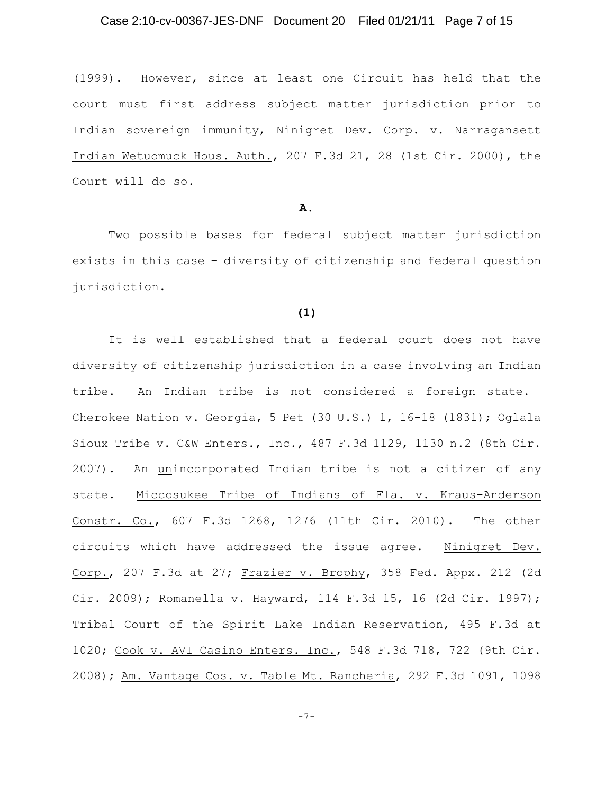# Case 2:10-cv-00367-JES-DNF Document 20 Filed 01/21/11 Page 7 of 15

(1999). However, since at least one Circuit has held that the court must first address subject matter jurisdiction prior to Indian sovereign immunity, Ninigret Dev. Corp. v. Narragansett Indian Wetuomuck Hous. Auth., 207 F.3d 21, 28 (1st Cir. 2000), the Court will do so.

## **A.**

Two possible bases for federal subject matter jurisdiction exists in this case – diversity of citizenship and federal question jurisdiction.

## **(1)**

It is well established that a federal court does not have diversity of citizenship jurisdiction in a case involving an Indian tribe. An Indian tribe is not considered a foreign state. Cherokee Nation v. Georgia, 5 Pet (30 U.S.) 1, 16-18 (1831); Oglala Sioux Tribe v. C&W Enters., Inc., 487 F.3d 1129, 1130 n.2 (8th Cir. 2007). An unincorporated Indian tribe is not a citizen of any state. Miccosukee Tribe of Indians of Fla. v. Kraus-Anderson Constr. Co., 607 F.3d 1268, 1276 (11th Cir. 2010). The other circuits which have addressed the issue agree. Ninigret Dev. Corp., 207 F.3d at 27; Frazier v. Brophy, 358 Fed. Appx. 212 (2d Cir. 2009); Romanella v. Hayward, 114 F.3d 15, 16 (2d Cir. 1997); Tribal Court of the Spirit Lake Indian Reservation, 495 F.3d at 1020; Cook v. AVI Casino Enters. Inc., 548 F.3d 718, 722 (9th Cir. 2008); Am. Vantage Cos. v. Table Mt. Rancheria, 292 F.3d 1091, 1098

-7-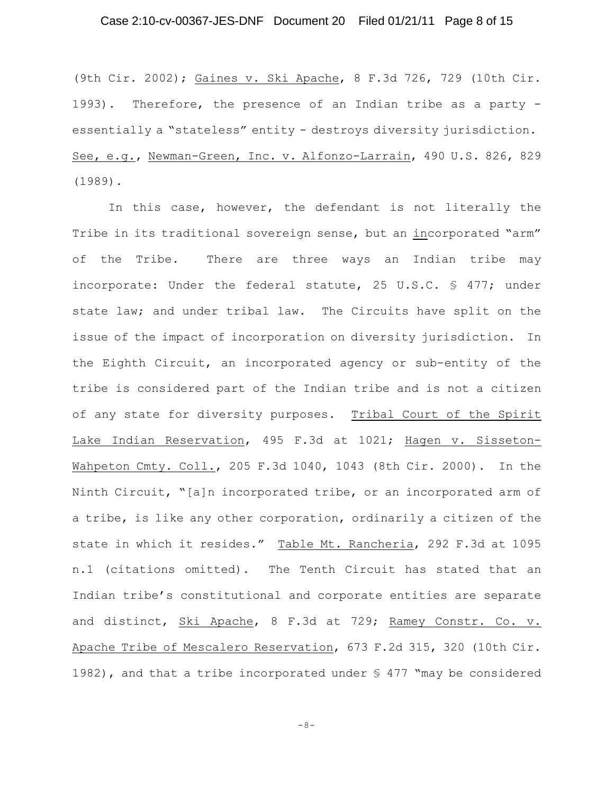# Case 2:10-cv-00367-JES-DNF Document 20 Filed 01/21/11 Page 8 of 15

(9th Cir. 2002); Gaines v. Ski Apache, 8 F.3d 726, 729 (10th Cir. 1993). Therefore, the presence of an Indian tribe as a party essentially a "stateless" entity - destroys diversity jurisdiction. See, e.g., Newman-Green, Inc. v. Alfonzo-Larrain, 490 U.S. 826, 829 (1989).

In this case, however, the defendant is not literally the Tribe in its traditional sovereign sense, but an incorporated "arm" of the Tribe. There are three ways an Indian tribe may incorporate: Under the federal statute, 25 U.S.C. § 477; under state law; and under tribal law. The Circuits have split on the issue of the impact of incorporation on diversity jurisdiction. In the Eighth Circuit, an incorporated agency or sub-entity of the tribe is considered part of the Indian tribe and is not a citizen of any state for diversity purposes. Tribal Court of the Spirit Lake Indian Reservation, 495 F.3d at 1021; Hagen v. Sisseton-Wahpeton Cmty. Coll., 205 F.3d 1040, 1043 (8th Cir. 2000). In the Ninth Circuit, "[a]n incorporated tribe, or an incorporated arm of a tribe, is like any other corporation, ordinarily a citizen of the state in which it resides." Table Mt. Rancheria, 292 F.3d at 1095 n.1 (citations omitted). The Tenth Circuit has stated that an Indian tribe's constitutional and corporate entities are separate and distinct, Ski Apache, 8 F.3d at 729; Ramey Constr. Co. v. Apache Tribe of Mescalero Reservation, 673 F.2d 315, 320 (10th Cir. 1982), and that a tribe incorporated under  $\frac{1}{9}$  477 "may be considered

-8-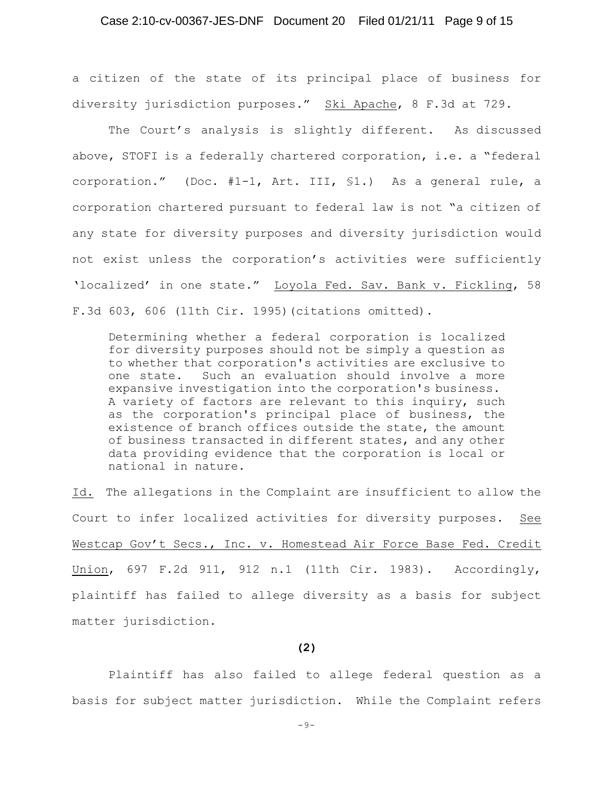# Case 2:10-cv-00367-JES-DNF Document 20 Filed 01/21/11 Page 9 of 15

a citizen of the state of its principal place of business for diversity jurisdiction purposes." Ski Apache, 8 F.3d at 729.

The Court's analysis is slightly different. As discussed above, STOFI is a federally chartered corporation, i.e. a "federal corporation." (Doc. #1-1, Art. III, §1.) As a general rule, a corporation chartered pursuant to federal law is not "a citizen of any state for diversity purposes and diversity jurisdiction would not exist unless the corporation's activities were sufficiently 'localized' in one state." Loyola Fed. Sav. Bank v. Fickling, 58 F.3d 603, 606 (11th Cir. 1995)(citations omitted).

Determining whether a federal corporation is localized for diversity purposes should not be simply a question as to whether that corporation's activities are exclusive to one state. Such an evaluation should involve a more expansive investigation into the corporation's business. A variety of factors are relevant to this inquiry, such as the corporation's principal place of business, the existence of branch offices outside the state, the amount of business transacted in different states, and any other data providing evidence that the corporation is local or national in nature.

Id. The allegations in the Complaint are insufficient to allow the Court to infer localized activities for diversity purposes. See Westcap Gov't Secs., Inc. v. Homestead Air Force Base Fed. Credit Union, 697 F.2d 911, 912 n.1 (11th Cir. 1983). Accordingly, plaintiff has failed to allege diversity as a basis for subject matter jurisdiction.

#### **(2)**

Plaintiff has also failed to allege federal question as a basis for subject matter jurisdiction. While the Complaint refers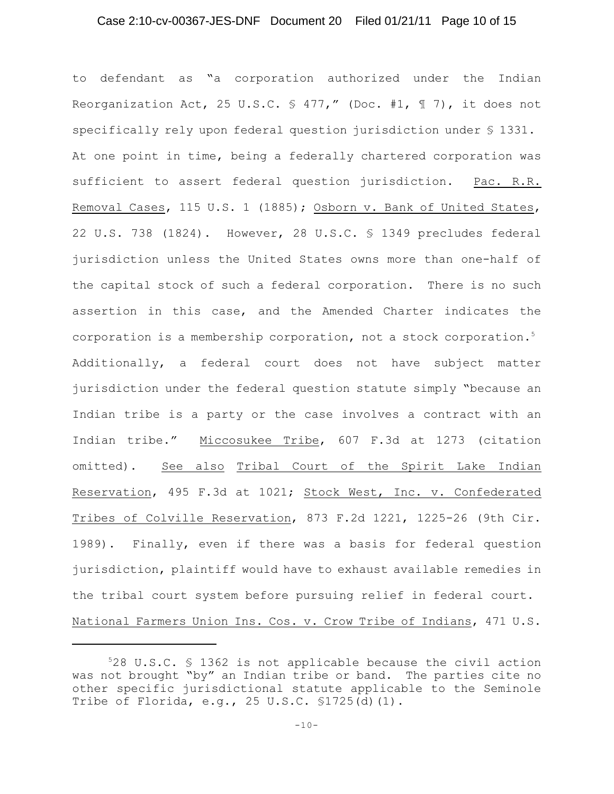# Case 2:10-cv-00367-JES-DNF Document 20 Filed 01/21/11 Page 10 of 15

to defendant as "a corporation authorized under the Indian Reorganization Act, 25 U.S.C.  $\frac{1}{2}$  477," (Doc. #1, 17), it does not specifically rely upon federal question jurisdiction under § 1331. At one point in time, being a federally chartered corporation was sufficient to assert federal question jurisdiction. Pac. R.R. Removal Cases, 115 U.S. 1 (1885); Osborn v. Bank of United States, 22 U.S. 738 (1824). However, 28 U.S.C. § 1349 precludes federal jurisdiction unless the United States owns more than one-half of the capital stock of such a federal corporation. There is no such assertion in this case, and the Amended Charter indicates the corporation is a membership corporation, not a stock corporation.<sup>5</sup> Additionally, a federal court does not have subject matter jurisdiction under the federal question statute simply "because an Indian tribe is a party or the case involves a contract with an Indian tribe." Miccosukee Tribe, 607 F.3d at 1273 (citation omitted). See also Tribal Court of the Spirit Lake Indian Reservation, 495 F.3d at 1021; Stock West, Inc. v. Confederated Tribes of Colville Reservation, 873 F.2d 1221, 1225-26 (9th Cir. 1989). Finally, even if there was a basis for federal question jurisdiction, plaintiff would have to exhaust available remedies in the tribal court system before pursuing relief in federal court. National Farmers Union Ins. Cos. v. Crow Tribe of Indians, 471 U.S.

 $528$  U.S.C.  $$$  1362 is not applicable because the civil action was not brought "by" an Indian tribe or band. The parties cite no other specific jurisdictional statute applicable to the Seminole Tribe of Florida, e.g., 25 U.S.C. §1725(d)(1).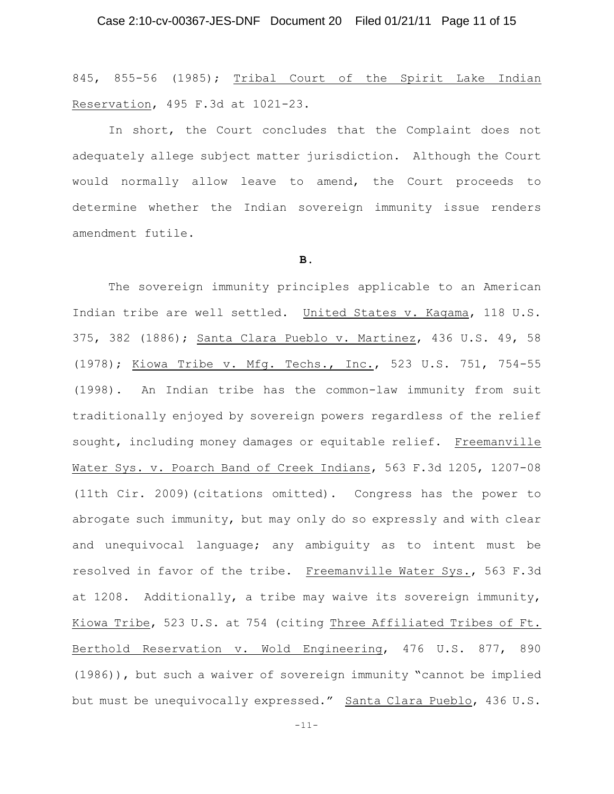845, 855-56 (1985); Tribal Court of the Spirit Lake Indian Reservation, 495 F.3d at 1021-23.

In short, the Court concludes that the Complaint does not adequately allege subject matter jurisdiction. Although the Court would normally allow leave to amend, the Court proceeds to determine whether the Indian sovereign immunity issue renders amendment futile.

# **B.**

The sovereign immunity principles applicable to an American Indian tribe are well settled. United States v. Kagama, 118 U.S. 375, 382 (1886); Santa Clara Pueblo v. Martinez, 436 U.S. 49, 58 (1978); Kiowa Tribe v. Mfg. Techs., Inc., 523 U.S. 751, 754-55 (1998). An Indian tribe has the common-law immunity from suit traditionally enjoyed by sovereign powers regardless of the relief sought, including money damages or equitable relief. Freemanville Water Sys. v. Poarch Band of Creek Indians, 563 F.3d 1205, 1207-08 (11th Cir. 2009)(citations omitted). Congress has the power to abrogate such immunity, but may only do so expressly and with clear and unequivocal language; any ambiguity as to intent must be resolved in favor of the tribe. Freemanville Water Sys., 563 F.3d at 1208. Additionally, a tribe may waive its sovereign immunity, Kiowa Tribe, 523 U.S. at 754 (citing Three Affiliated Tribes of Ft. Berthold Reservation v. Wold Engineering, 476 U.S. 877, 890 (1986)), but such a waiver of sovereign immunity "cannot be implied but must be unequivocally expressed." Santa Clara Pueblo, 436 U.S.

-11-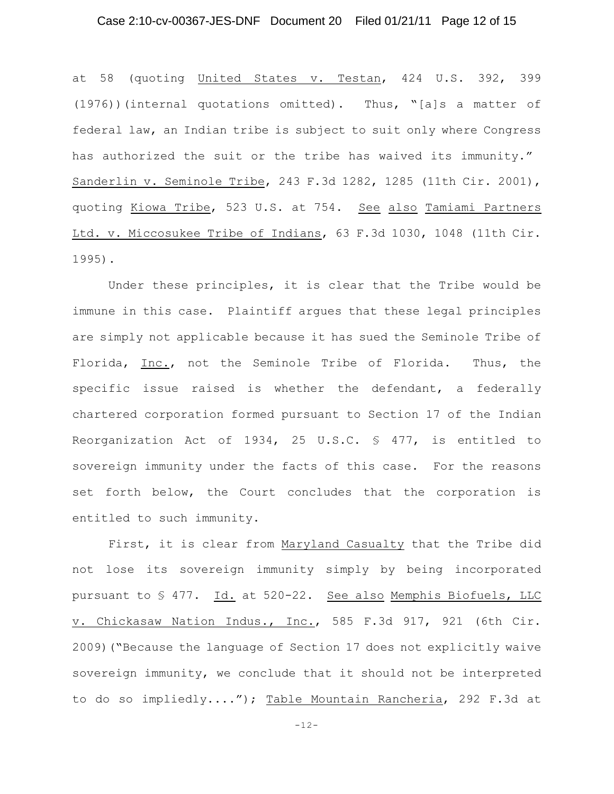# Case 2:10-cv-00367-JES-DNF Document 20 Filed 01/21/11 Page 12 of 15

at 58 (quoting United States v. Testan, 424 U.S. 392, 399 (1976))(internal quotations omitted). Thus, "[a]s a matter of federal law, an Indian tribe is subject to suit only where Congress has authorized the suit or the tribe has waived its immunity." Sanderlin v. Seminole Tribe, 243 F.3d 1282, 1285 (11th Cir. 2001), quoting Kiowa Tribe, 523 U.S. at 754. See also Tamiami Partners Ltd. v. Miccosukee Tribe of Indians, 63 F.3d 1030, 1048 (11th Cir. 1995).

Under these principles, it is clear that the Tribe would be immune in this case. Plaintiff argues that these legal principles are simply not applicable because it has sued the Seminole Tribe of Florida, Inc., not the Seminole Tribe of Florida. Thus, the specific issue raised is whether the defendant, a federally chartered corporation formed pursuant to Section 17 of the Indian Reorganization Act of 1934, 25 U.S.C. § 477, is entitled to sovereign immunity under the facts of this case. For the reasons set forth below, the Court concludes that the corporation is entitled to such immunity.

First, it is clear from Maryland Casualty that the Tribe did not lose its sovereign immunity simply by being incorporated pursuant to § 477. Id. at 520-22. See also Memphis Biofuels, LLC v. Chickasaw Nation Indus., Inc., 585 F.3d 917, 921 (6th Cir. 2009)("Because the language of Section 17 does not explicitly waive sovereign immunity, we conclude that it should not be interpreted to do so impliedly...."); Table Mountain Rancheria, 292 F.3d at

-12-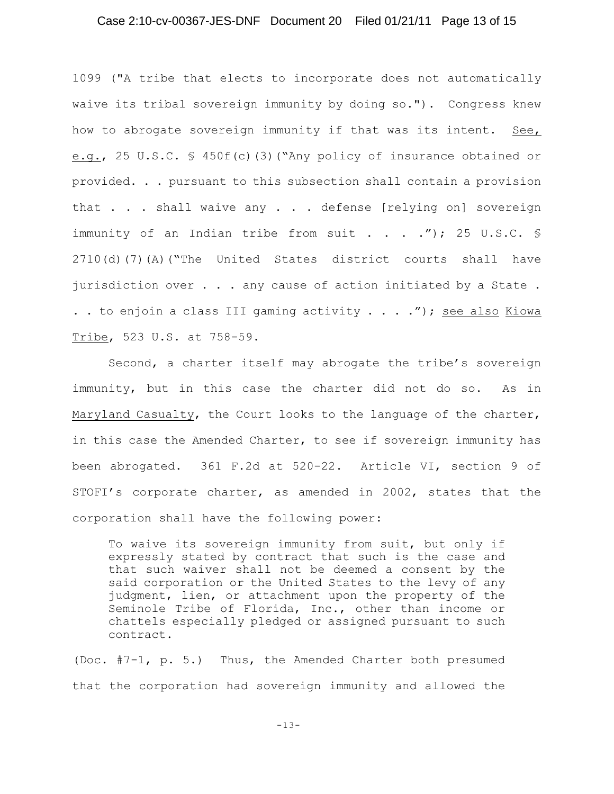# Case 2:10-cv-00367-JES-DNF Document 20 Filed 01/21/11 Page 13 of 15

1099 ("A tribe that elects to incorporate does not automatically waive its tribal sovereign immunity by doing so."). Congress knew how to abrogate sovereign immunity if that was its intent. See, e.g., 25 U.S.C. § 450f(c)(3)("Any policy of insurance obtained or provided. . . pursuant to this subsection shall contain a provision that . . . shall waive any . . . defense [relying on] sovereign immunity of an Indian tribe from suit . . . . "); 25 U.S.C.  $\frac{1}{5}$ 2710(d)(7)(A)("The United States district courts shall have jurisdiction over . . . any cause of action initiated by a State . . . to enjoin a class III gaming activity  $\ldots$  . . ."); see also Kiowa Tribe, 523 U.S. at 758-59.

Second, a charter itself may abrogate the tribe's sovereign immunity, but in this case the charter did not do so. As in Maryland Casualty, the Court looks to the language of the charter, in this case the Amended Charter, to see if sovereign immunity has been abrogated. 361 F.2d at 520-22. Article VI, section 9 of STOFI's corporate charter, as amended in 2002, states that the corporation shall have the following power:

To waive its sovereign immunity from suit, but only if expressly stated by contract that such is the case and that such waiver shall not be deemed a consent by the said corporation or the United States to the levy of any judgment, lien, or attachment upon the property of the Seminole Tribe of Florida, Inc., other than income or chattels especially pledged or assigned pursuant to such contract.

(Doc. #7-1, p. 5.) Thus, the Amended Charter both presumed that the corporation had sovereign immunity and allowed the

 $-13-$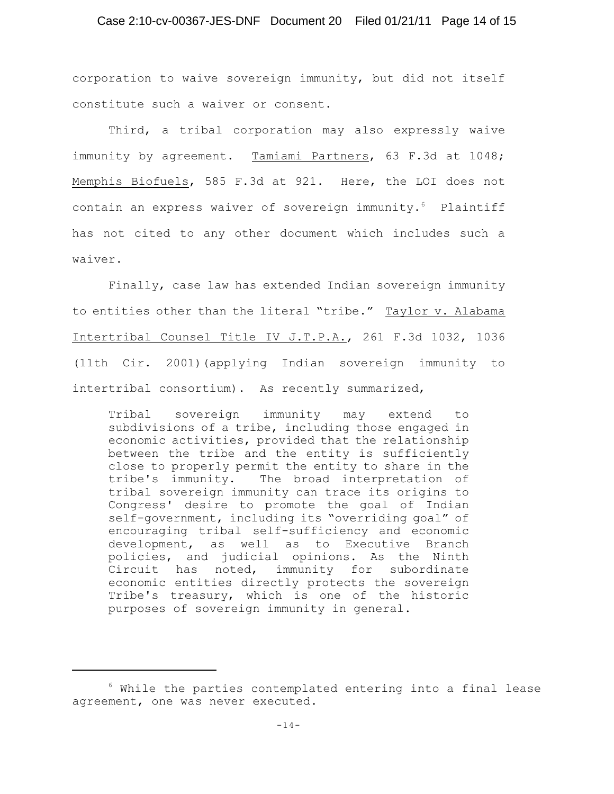# Case 2:10-cv-00367-JES-DNF Document 20 Filed 01/21/11 Page 14 of 15

corporation to waive sovereign immunity, but did not itself constitute such a waiver or consent.

Third, a tribal corporation may also expressly waive immunity by agreement. Tamiami Partners, 63 F.3d at 1048; Memphis Biofuels, 585 F.3d at 921. Here, the LOI does not contain an express waiver of sovereign immunity. $6$  Plaintiff has not cited to any other document which includes such a waiver.

Finally, case law has extended Indian sovereign immunity to entities other than the literal "tribe." Taylor v. Alabama Intertribal Counsel Title IV J.T.P.A., 261 F.3d 1032, 1036 (11th Cir. 2001)(applying Indian sovereign immunity to intertribal consortium). As recently summarized,

Tribal sovereign immunity may extend to subdivisions of a tribe, including those engaged in economic activities, provided that the relationship between the tribe and the entity is sufficiently close to properly permit the entity to share in the tribe's immunity. The broad interpretation of tribal sovereign immunity can trace its origins to Congress' desire to promote the goal of Indian self-government, including its "overriding goal" of encouraging tribal self-sufficiency and economic development, as well as to Executive Branch policies, and judicial opinions. As the Ninth Circuit has noted, immunity for subordinate economic entities directly protects the sovereign Tribe's treasury, which is one of the historic purposes of sovereign immunity in general.

 $6$  While the parties contemplated entering into a final lease agreement, one was never executed.